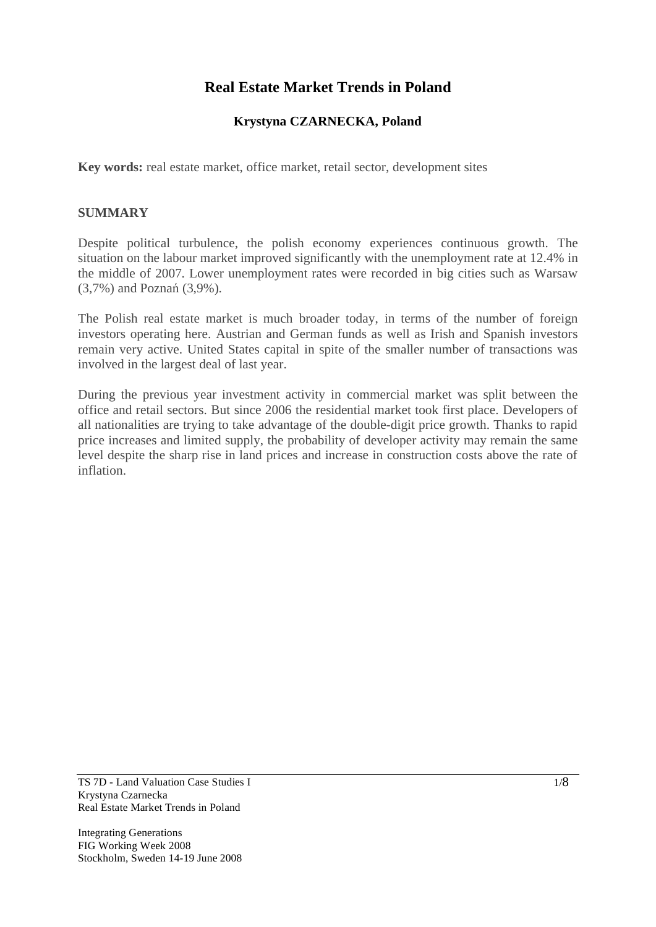# **Real Estate Market Trends in Poland**

# **Krystyna CZARNECKA, Poland**

**Key words:** real estate market, office market, retail sector, development sites

#### **SUMMARY**

Despite political turbulence, the polish economy experiences continuous growth. The situation on the labour market improved significantly with the unemployment rate at 12.4% in the middle of 2007. Lower unemployment rates were recorded in big cities such as Warsaw  $(3,7\%)$  and Poznań  $(3,9\%)$ .

The Polish real estate market is much broader today, in terms of the number of foreign investors operating here. Austrian and German funds as well as Irish and Spanish investors remain very active. United States capital in spite of the smaller number of transactions was involved in the largest deal of last year.

During the previous year investment activity in commercial market was split between the office and retail sectors. But since 2006 the residential market took first place. Developers of all nationalities are trying to take advantage of the double-digit price growth. Thanks to rapid price increases and limited supply, the probability of developer activity may remain the same level despite the sharp rise in land prices and increase in construction costs above the rate of inflation.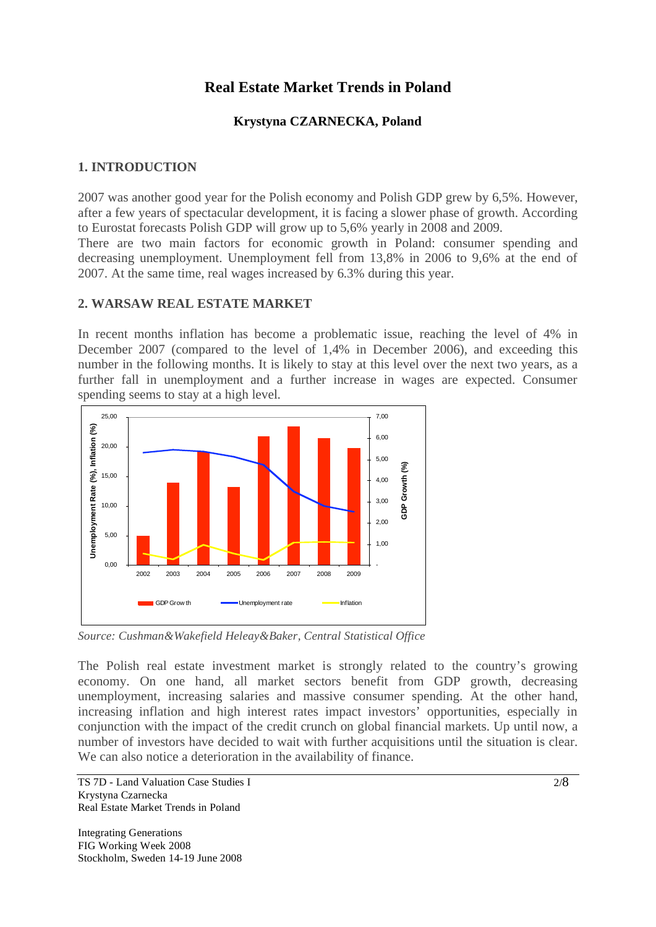# **Real Estate Market Trends in Poland**

## **Krystyna CZARNECKA, Poland**

## **1. INTRODUCTION**

2007 was another good year for the Polish economy and Polish GDP grew by 6,5%. However, after a few years of spectacular development, it is facing a slower phase of growth. According to Eurostat forecasts Polish GDP will grow up to 5,6% yearly in 2008 and 2009.

There are two main factors for economic growth in Poland: consumer spending and decreasing unemployment. Unemployment fell from 13,8% in 2006 to 9,6% at the end of 2007. At the same time, real wages increased by 6.3% during this year.

#### **2. WARSAW REAL ESTATE MARKET**

In recent months inflation has become a problematic issue, reaching the level of 4% in December 2007 (compared to the level of 1,4% in December 2006), and exceeding this number in the following months. It is likely to stay at this level over the next two years, as a further fall in unemployment and a further increase in wages are expected. Consumer spending seems to stay at a high level.



*Source: Cushman&Wakefield Heleay&Baker, Central Statistical Office* 

The Polish real estate investment market is strongly related to the country's growing economy. On one hand, all market sectors benefit from GDP growth, decreasing unemployment, increasing salaries and massive consumer spending. At the other hand, increasing inflation and high interest rates impact investors' opportunities, especially in conjunction with the impact of the credit crunch on global financial markets. Up until now, a number of investors have decided to wait with further acquisitions until the situation is clear. We can also notice a deterioration in the availability of finance.

TS 7D - Land Valuation Case Studies I Krystyna Czarnecka Real Estate Market Trends in Poland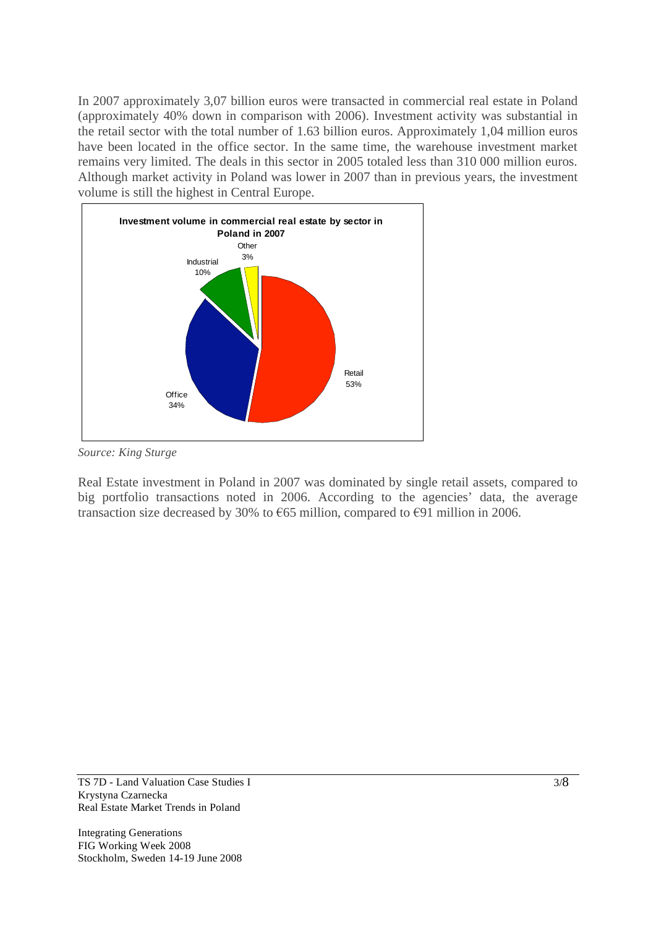In 2007 approximately 3,07 billion euros were transacted in commercial real estate in Poland (approximately 40% down in comparison with 2006). Investment activity was substantial in the retail sector with the total number of 1.63 billion euros. Approximately 1,04 million euros have been located in the office sector. In the same time, the warehouse investment market remains very limited. The deals in this sector in 2005 totaled less than 310 000 million euros. Although market activity in Poland was lower in 2007 than in previous years, the investment volume is still the highest in Central Europe.



*Source: King Sturge* 

Real Estate investment in Poland in 2007 was dominated by single retail assets, compared to big portfolio transactions noted in 2006. According to the agencies' data, the average transaction size decreased by 30% to  $\epsilon$ 65 million, compared to  $\epsilon$ 91 million in 2006.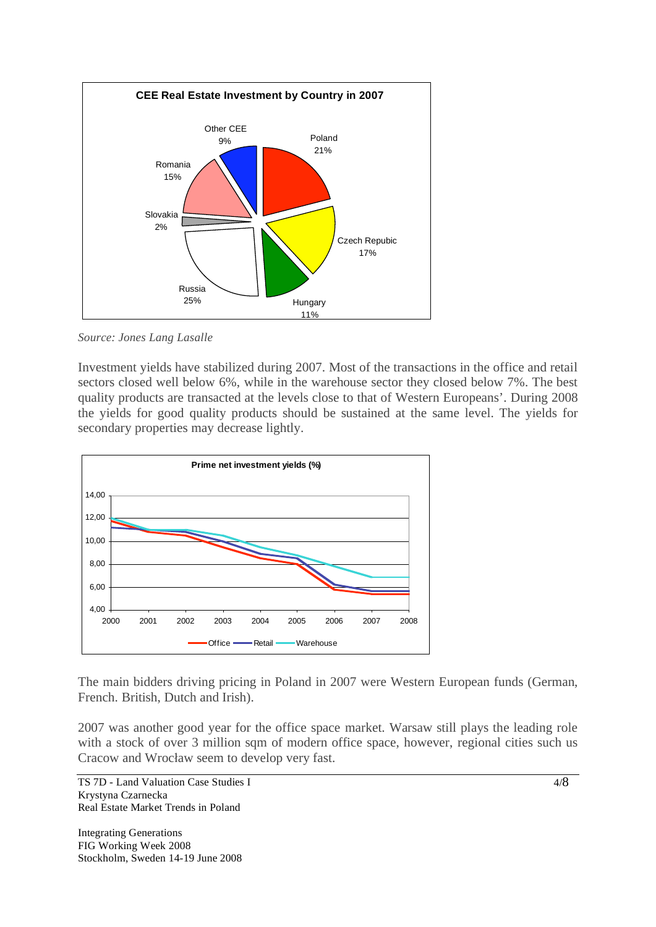

*Source: Jones Lang Lasalle* 

Investment yields have stabilized during 2007. Most of the transactions in the office and retail sectors closed well below 6%, while in the warehouse sector they closed below 7%. The best quality products are transacted at the levels close to that of Western Europeans'. During 2008 the yields for good quality products should be sustained at the same level. The yields for secondary properties may decrease lightly.



The main bidders driving pricing in Poland in 2007 were Western European funds (German, French. British, Dutch and Irish).

2007 was another good year for the office space market. Warsaw still plays the leading role with a stock of over 3 million sqm of modern office space, however, regional cities such us Cracow and Wrocław seem to develop very fast.

TS 7D - Land Valuation Case Studies I Krystyna Czarnecka Real Estate Market Trends in Poland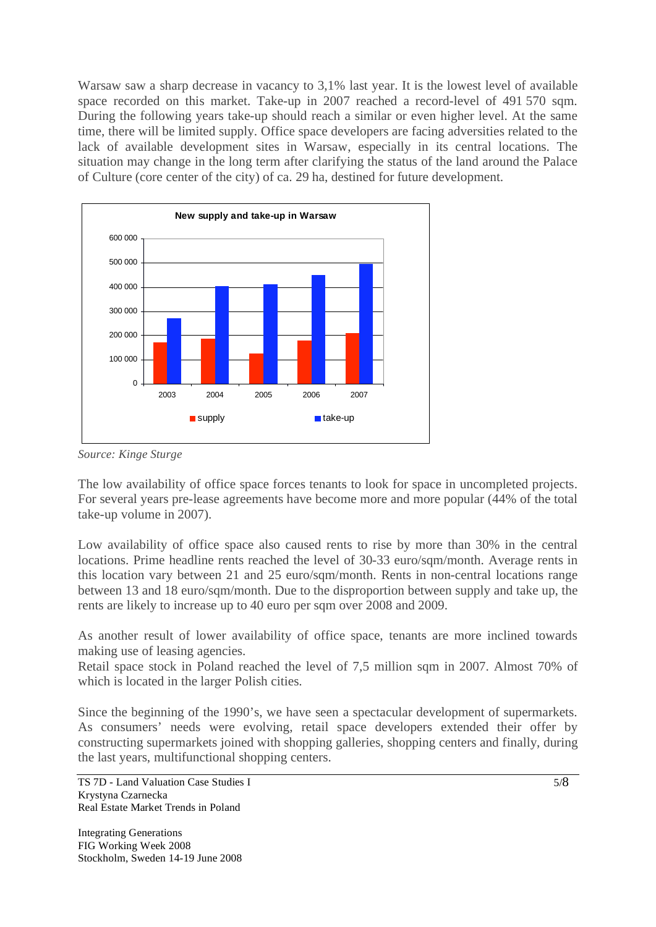Warsaw saw a sharp decrease in vacancy to 3,1% last year. It is the lowest level of available space recorded on this market. Take-up in 2007 reached a record-level of 491 570 sqm. During the following years take-up should reach a similar or even higher level. At the same time, there will be limited supply. Office space developers are facing adversities related to the lack of available development sites in Warsaw, especially in its central locations. The situation may change in the long term after clarifying the status of the land around the Palace of Culture (core center of the city) of ca. 29 ha, destined for future development.



*Source: Kinge Sturge* 

The low availability of office space forces tenants to look for space in uncompleted projects. For several years pre-lease agreements have become more and more popular (44% of the total take-up volume in 2007).

Low availability of office space also caused rents to rise by more than 30% in the central locations. Prime headline rents reached the level of 30-33 euro/sqm/month. Average rents in this location vary between 21 and 25 euro/sqm/month. Rents in non-central locations range between 13 and 18 euro/sqm/month. Due to the disproportion between supply and take up, the rents are likely to increase up to 40 euro per sqm over 2008 and 2009.

As another result of lower availability of office space, tenants are more inclined towards making use of leasing agencies.

Retail space stock in Poland reached the level of 7,5 million sqm in 2007. Almost 70% of which is located in the larger Polish cities.

Since the beginning of the 1990's, we have seen a spectacular development of supermarkets. As consumers' needs were evolving, retail space developers extended their offer by constructing supermarkets joined with shopping galleries, shopping centers and finally, during the last years, multifunctional shopping centers.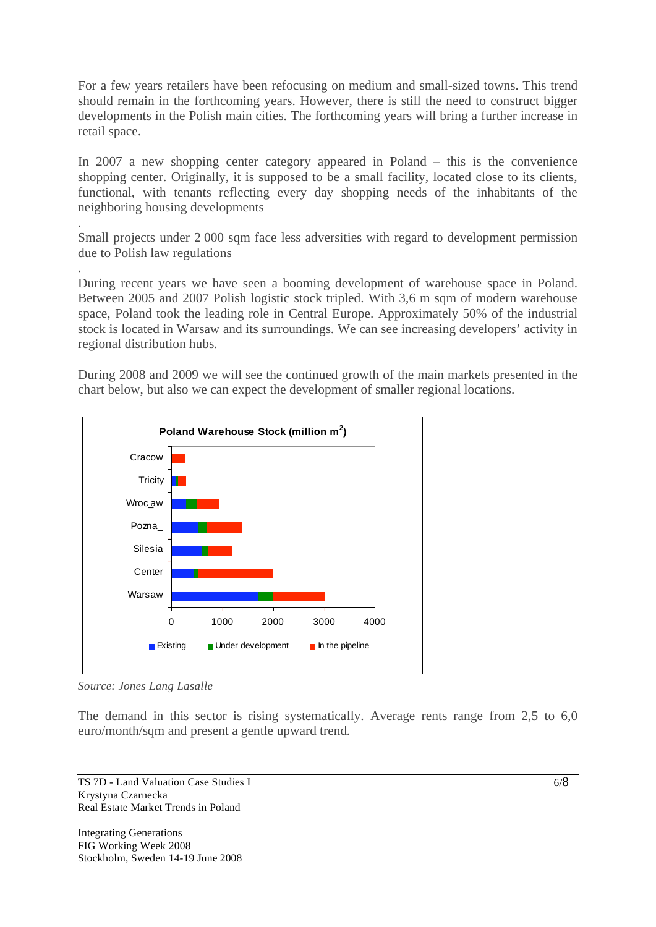For a few years retailers have been refocusing on medium and small-sized towns. This trend should remain in the forthcoming years. However, there is still the need to construct bigger developments in the Polish main cities. The forthcoming years will bring a further increase in retail space.

In 2007 a new shopping center category appeared in Poland – this is the convenience shopping center. Originally, it is supposed to be a small facility, located close to its clients, functional, with tenants reflecting every day shopping needs of the inhabitants of the neighboring housing developments

Small projects under 2 000 sqm face less adversities with regard to development permission due to Polish law regulations

During recent years we have seen a booming development of warehouse space in Poland. Between 2005 and 2007 Polish logistic stock tripled. With 3,6 m sqm of modern warehouse space, Poland took the leading role in Central Europe. Approximately 50% of the industrial stock is located in Warsaw and its surroundings. We can see increasing developers' activity in regional distribution hubs.

During 2008 and 2009 we will see the continued growth of the main markets presented in the chart below, but also we can expect the development of smaller regional locations.



*Source: Jones Lang Lasalle* 

.

.

The demand in this sector is rising systematically. Average rents range from 2,5 to 6,0 euro/month/sqm and present a gentle upward trend.

TS 7D - Land Valuation Case Studies I Krystyna Czarnecka Real Estate Market Trends in Poland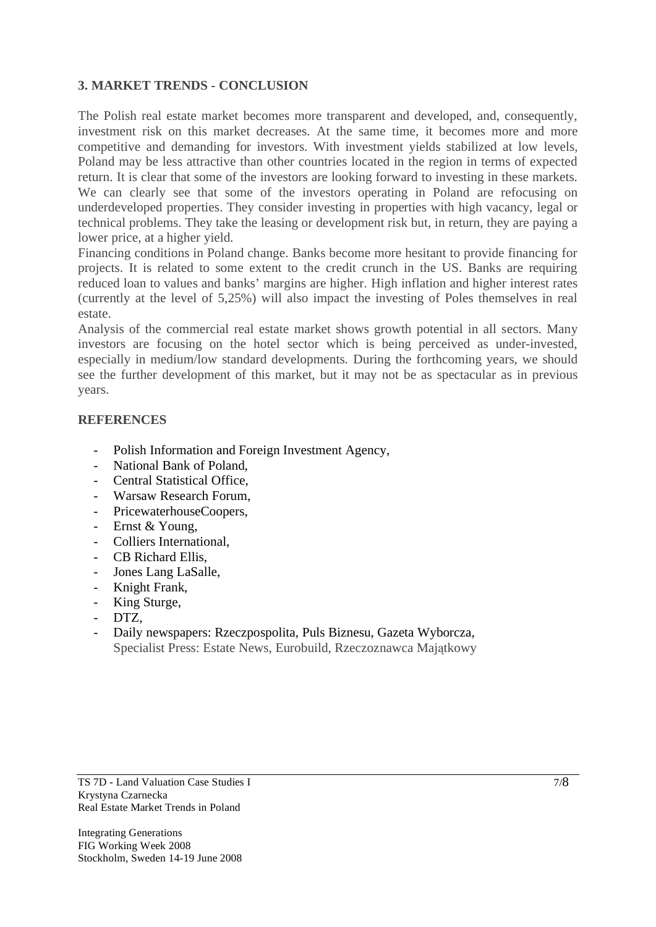## **3. MARKET TRENDS - CONCLUSION**

The Polish real estate market becomes more transparent and developed, and, consequently, investment risk on this market decreases. At the same time, it becomes more and more competitive and demanding for investors. With investment yields stabilized at low levels, Poland may be less attractive than other countries located in the region in terms of expected return. It is clear that some of the investors are looking forward to investing in these markets. We can clearly see that some of the investors operating in Poland are refocusing on underdeveloped properties. They consider investing in properties with high vacancy, legal or technical problems. They take the leasing or development risk but, in return, they are paying a lower price, at a higher yield.

Financing conditions in Poland change. Banks become more hesitant to provide financing for projects. It is related to some extent to the credit crunch in the US. Banks are requiring reduced loan to values and banks' margins are higher. High inflation and higher interest rates (currently at the level of 5,25%) will also impact the investing of Poles themselves in real estate.

Analysis of the commercial real estate market shows growth potential in all sectors. Many investors are focusing on the hotel sector which is being perceived as under-invested, especially in medium/low standard developments. During the forthcoming years, we should see the further development of this market, but it may not be as spectacular as in previous years.

#### **REFERENCES**

- Polish Information and Foreign Investment Agency,
- National Bank of Poland,
- Central Statistical Office,
- Warsaw Research Forum,
- PricewaterhouseCoopers,
- Ernst & Young,
- Colliers International,
- CB Richard Ellis,
- Jones Lang LaSalle,
- Knight Frank,
- King Sturge,
- DTZ.
- Daily newspapers: Rzeczpospolita, Puls Biznesu, Gazeta Wyborcza, Specialist Press: Estate News, Eurobuild, Rzeczoznawca Majątkowy